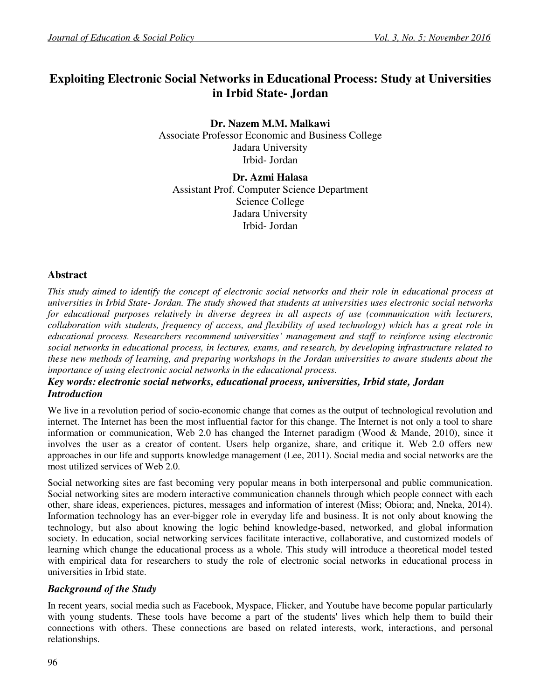# **Exploiting Electronic Social Networks in Educational Process: Study at Universities in Irbid State- Jordan**

**Dr. Nazem M.M. Malkawi**  Associate Professor Economic and Business College Jadara University Irbid- Jordan

**Dr. Azmi Halasa**  Assistant Prof. Computer Science Department Science College Jadara University Irbid- Jordan

### **Abstract**

*This study aimed to identify the concept of electronic social networks and their role in educational process at universities in Irbid State- Jordan. The study showed that students at universities uses electronic social networks for educational purposes relatively in diverse degrees in all aspects of use (communication with lecturers, collaboration with students, frequency of access, and flexibility of used technology) which has a great role in educational process. Researchers recommend universities' management and staff to reinforce using electronic social networks in educational process, in lectures, exams, and research, by developing infrastructure related to these new methods of learning, and preparing workshops in the Jordan universities to aware students about the importance of using electronic social networks in the educational process.* 

### *Key words: electronic social networks, educational process, universities, Irbid state, Jordan Introduction*

We live in a revolution period of socio-economic change that comes as the output of technological revolution and internet. The Internet has been the most influential factor for this change. The Internet is not only a tool to share information or communication, Web 2.0 has changed the Internet paradigm (Wood & Mande, 2010), since it involves the user as a creator of content. Users help organize, share, and critique it. Web 2.0 offers new approaches in our life and supports knowledge management (Lee, 2011). Social media and social networks are the most utilized services of Web 2.0.

Social networking sites are fast becoming very popular means in both interpersonal and public communication. Social networking sites are modern interactive communication channels through which people connect with each other, share ideas, experiences, pictures, messages and information of interest (Miss; Obiora; and, Nneka, 2014). Information technology has an ever-bigger role in everyday life and business. It is not only about knowing the technology, but also about knowing the logic behind knowledge-based, networked, and global information society. In education, social networking services facilitate interactive, collaborative, and customized models of learning which change the educational process as a whole. This study will introduce a theoretical model tested with empirical data for researchers to study the role of electronic social networks in educational process in universities in Irbid state.

# *Background of the Study*

In recent years, social media such as Facebook, Myspace, Flicker, and Youtube have become popular particularly with young students. These tools have become a part of the students' lives which help them to build their connections with others. These connections are based on related interests, work, interactions, and personal relationships.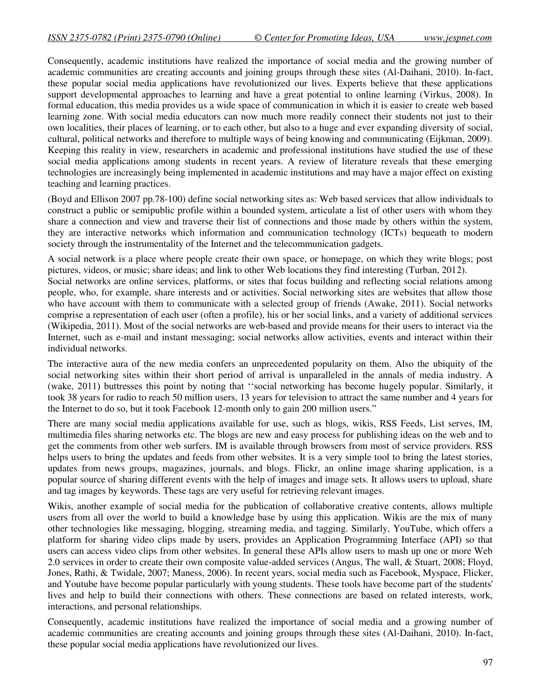Consequently, academic institutions have realized the importance of social media and the growing number of academic communities are creating accounts and joining groups through these sites [\(Al-Daihani,](http://www.webology.org/2010/v7n2/a79.html#2) 2010). In-fact, these popular social media applications have revolutionized our lives. Experts believe that these applications support developmental approaches to learning and have a great potential to online learning [\(Virkus,](http://www.webology.org/2010/v7n2/a79.html#16) 2008). In formal education, this media provides us a wide space of communication in which it is easier to create web based learning zone. With social media educators can now much more readily connect their students not just to their own localities, their places of learning, or to each other, but also to a huge and ever expanding diversity of social, cultural, political networks and therefore to multiple ways of being knowing and communicating [\(Eijkman,](http://www.webology.org/2010/v7n2/a79.html#8) 2009). Keeping this reality in view, researchers in academic and professional institutions have studied the use of these social media applications among students in recent years. A review of literature reveals that these emerging technologies are increasingly being implemented in academic institutions and may have a major effect on existing teaching and learning practices.

(Boyd and Ellison 2007 pp.78-100) define social networking sites as: Web based services that allow individuals to construct a public or semipublic profile within a bounded system, articulate a list of other users with whom they share a connection and view and traverse their list of connections and those made by others within the system, they are interactive networks which information and communication technology (ICTs) bequeath to modern society through the instrumentality of the Internet and the telecommunication gadgets.

A social network is a place where people create their own space, or homepage, on which they write blogs; post pictures, videos, or music; share ideas; and link to other Web locations they find interesting (Turban, 2012).

Social networks are online services, platforms, or sites that focus building and reflecting social relations among people, who, for example, share interests and or activities. Social networking sites are websites that allow those who have account with them to communicate with a selected group of friends (Awake, 2011). Social networks comprise a representation of each user (often a profile), his or her social links, and a variety of additional services (Wikipedia, 2011). Most of the social networks are web-based and provide means for their users to interact via the Internet, such as e-mail and instant messaging; social networks allow activities, events and interact within their individual networks.

The interactive aura of the new media confers an unprecedented popularity on them. Also the ubiquity of the social networking sites within their short period of arrival is unparalleled in the annals of media industry. A (wake, 2011) buttresses this point by noting that ''social networking has become hugely popular. Similarly, it took 38 years for radio to reach 50 million users, 13 years for television to attract the same number and 4 years for the Internet to do so, but it took Facebook 12-month only to gain 200 million users."

There are many social media applications available for use, such as blogs, wikis, RSS Feeds, List serves, IM, multimedia files sharing networks etc. The blogs are new and easy process for publishing ideas on the web and to get the comments from other web surfers. IM is available through browsers from most of service providers. RSS helps users to bring the updates and feeds from other websites. It is a very simple tool to bring the latest stories, updates from news groups, magazines, journals, and blogs. Flickr, an online image sharing application, is a popular source of sharing different events with the help of images and image sets. It allows users to upload, share and tag images by keywords. These tags are very useful for retrieving relevant images.

Wikis, another example of social media for the publication of collaborative creative contents, allows multiple users from all over the world to build a knowledge base by using this application. Wikis are the mix of many other technologies like messaging, blogging, streaming media, and tagging. Similarly, YouTube, which offers a platform for sharing video clips made by users, provides an Application Programming Interface (API) so that users can access video clips from other websites. In general these APIs allow users to mash up one or more Web 2.0 services in order to create their own composite value-added services [\(Angus, The wall, & Stuart,](http://www.webology.org/2010/v7n2/a79.html#3) 2008; [Floyd,](http://www.webology.org/2010/v7n2/a79.html#9)  [Jones, Rathi, & Twidale,](http://www.webology.org/2010/v7n2/a79.html#9) 2007; [Maness,](http://www.webology.org/2010/v7n2/a79.html#10) 2006). In recent years, social media such as Facebook, Myspace, Flicker, and Youtube have become popular particularly with young students. These tools have become part of the students' lives and help to build their connections with others. These connections are based on related interests, work, interactions, and personal relationships.

Consequently, academic institutions have realized the importance of social media and a growing number of academic communities are creating accounts and joining groups through these sites [\(Al-Daihani,](http://www.webology.org/2010/v7n2/a79.html#2) 2010). In-fact, these popular social media applications have revolutionized our lives.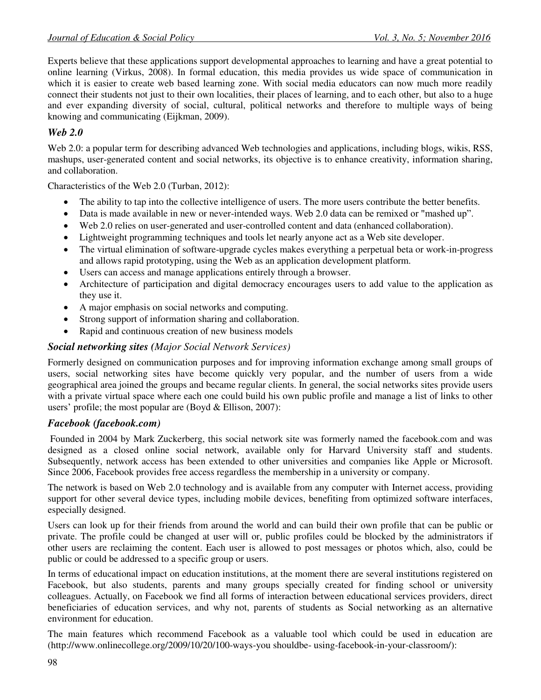Experts believe that these applications support developmental approaches to learning and have a great potential to online learning [\(Virkus,](http://www.webology.org/2010/v7n2/a79.html#16) 2008). In formal education, this media provides us wide space of communication in which it is easier to create web based learning zone. With social media educators can now much more readily connect their students not just to their own localities, their places of learning, and to each other, but also to a huge and ever expanding diversity of social, cultural, political networks and therefore to multiple ways of being knowing and communicating [\(Eijkman,](http://www.webology.org/2010/v7n2/a79.html#8) 2009).

# *Web 2.0*

Web 2.0: a popular term for describing advanced Web technologies and applications, including blogs, wikis, RSS, mashups, user-generated content and social networks, its objective is to enhance creativity, information sharing, and collaboration.

Characteristics of the Web 2.0 (Turban, 2012):

- The ability to tap into the collective intelligence of users. The more users contribute the better benefits.
- Data is made available in new or never-intended ways. Web 2.0 data can be remixed or "mashed up".
- Web 2.0 relies on user-generated and user-controlled content and data (enhanced collaboration).
- Lightweight programming techniques and tools let nearly anyone act as a Web site developer.
- The virtual elimination of software-upgrade cycles makes everything a perpetual beta or work-in-progress and allows rapid prototyping, using the Web as an application development platform.
- Users can access and manage applications entirely through a browser.
- Architecture of participation and digital democracy encourages users to add value to the application as they use it.
- A major emphasis on social networks and computing.
- Strong support of information sharing and collaboration.
- Rapid and continuous creation of new business models

# *Social networking sites (Major Social Network Services)*

Formerly designed on communication purposes and for improving information exchange among small groups of users, social networking sites have become quickly very popular, and the number of users from a wide geographical area joined the groups and became regular clients. In general, the social networks sites provide users with a private virtual space where each one could build his own public profile and manage a list of links to other users' profile; the most popular are (Boyd & Ellison, 2007):

# *Facebook (facebook.com)*

 Founded in 2004 by Mark Zuckerberg, this social network site was formerly named the facebook.com and was designed as a closed online social network, available only for Harvard University staff and students. Subsequently, network access has been extended to other universities and companies like Apple or Microsoft. Since 2006, Facebook provides free access regardless the membership in a university or company.

The network is based on Web 2.0 technology and is available from any computer with Internet access, providing support for other several device types, including mobile devices, benefiting from optimized software interfaces, especially designed.

Users can look up for their friends from around the world and can build their own profile that can be public or private. The profile could be changed at user will or, public profiles could be blocked by the administrators if other users are reclaiming the content. Each user is allowed to post messages or photos which, also, could be public or could be addressed to a specific group or users.

In terms of educational impact on education institutions, at the moment there are several institutions registered on Facebook, but also students, parents and many groups specially created for finding school or university colleagues. Actually, on Facebook we find all forms of interaction between educational services providers, direct beneficiaries of education services, and why not, parents of students as Social networking as an alternative environment for education.

The main features which recommend Facebook as a valuable tool which could be used in education are [\(http://www.onlinecollege.org/2009/10/20/100-ways-you shouldbe- using-facebook-in-your-classroom/\)](http://www.onlinecollege.org/2009/10/20/100-ways-you%20shouldbe-%20using-facebook-in-your-classroom/):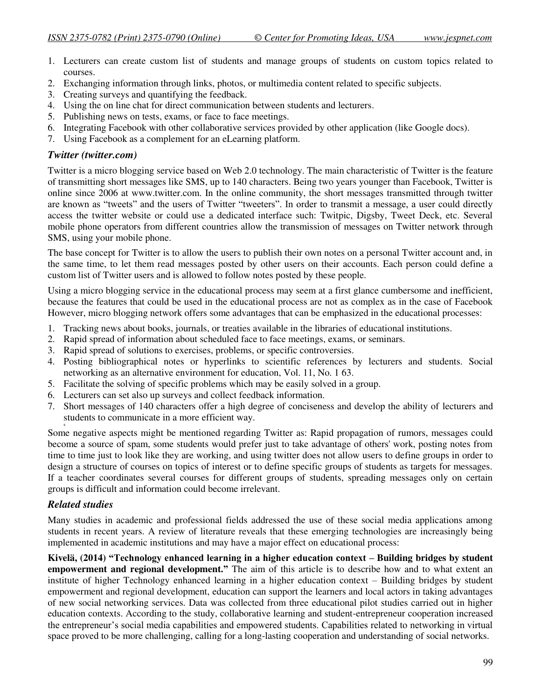- 1. Lecturers can create custom list of students and manage groups of students on custom topics related to courses.
- 2. Exchanging information through links, photos, or multimedia content related to specific subjects.
- 3. Creating surveys and quantifying the feedback.
- 4. Using the on line chat for direct communication between students and lecturers.
- 5. Publishing news on tests, exams, or face to face meetings.
- 6. Integrating Facebook with other collaborative services provided by other application (like Google docs).
- 7. Using Facebook as a complement for an eLearning platform.

# *Twitter (twitter.com)*

Twitter is a micro blogging service based on Web 2.0 technology. The main characteristic of Twitter is the feature of transmitting short messages like SMS, up to 140 characters. Being two years younger than Facebook, Twitter is online since 2006 at www.twitter.com. In the online community, the short messages transmitted through twitter are known as "tweets" and the users of Twitter "tweeters". In order to transmit a message, a user could directly access the twitter website or could use a dedicated interface such: Twitpic, Digsby, Tweet Deck, etc. Several mobile phone operators from different countries allow the transmission of messages on Twitter network through SMS, using your mobile phone.

The base concept for Twitter is to allow the users to publish their own notes on a personal Twitter account and, in the same time, to let them read messages posted by other users on their accounts. Each person could define a custom list of Twitter users and is allowed to follow notes posted by these people.

Using a micro blogging service in the educational process may seem at a first glance cumbersome and inefficient, because the features that could be used in the educational process are not as complex as in the case of Facebook However, micro blogging network offers some advantages that can be emphasized in the educational processes:

- 1. Tracking news about books, journals, or treaties available in the libraries of educational institutions.
- 2. Rapid spread of information about scheduled face to face meetings, exams, or seminars.
- 3. Rapid spread of solutions to exercises, problems, or specific controversies.
- 4. Posting bibliographical notes or hyperlinks to scientific references by lecturers and students. Social networking as an alternative environment for education, Vol. 11, No. 1 63.
- 5. Facilitate the solving of specific problems which may be easily solved in a group.
- 6. Lecturers can set also up surveys and collect feedback information.
- 7. Short messages of 140 characters offer a high degree of conciseness and develop the ability of lecturers and students to communicate in a more efficient way.

8. Some negative aspects might be mentioned regarding Twitter as: Rapid propagation of rumors, messages could become a source of spam, some students would prefer just to take advantage of others' work, posting notes from time to time just to look like they are working, and using twitter does not allow users to define groups in order to design a structure of courses on topics of interest or to define specific groups of students as targets for messages. If a teacher coordinates several courses for different groups of students, spreading messages only on certain groups is difficult and information could become irrelevant.

# *Related studies*

Many studies in academic and professional fields addressed the use of these social media applications among students in recent years. A review of literature reveals that these emerging technologies are increasingly being implemented in academic institutions and may have a major effect on educational process:

**Kivelä, (2014) "Technology enhanced learning in a higher education context – Building bridges by student empowerment and regional development."** The aim of this article is to describe how and to what extent an institute of higher Technology enhanced learning in a higher education context – Building bridges by student empowerment and regional development, education can support the learners and local actors in taking advantages of new social networking services. Data was collected from three educational pilot studies carried out in higher education contexts. According to the study, collaborative learning and student-entrepreneur cooperation increased the entrepreneur's social media capabilities and empowered students. Capabilities related to networking in virtual space proved to be more challenging, calling for a long-lasting cooperation and understanding of social networks.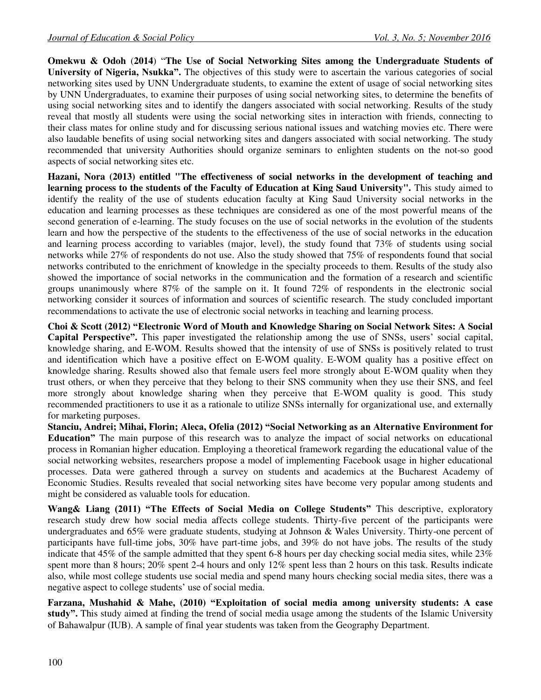**Omekwu & Odoh** (**2014**) "**The Use of Social Networking Sites among the Undergraduate Students of University of Nigeria, Nsukka".** The objectives of this study were to ascertain the various categories of social networking sites used by UNN Undergraduate students, to examine the extent of usage of social networking sites by UNN Undergraduates, to examine their purposes of using social networking sites, to determine the benefits of using social networking sites and to identify the dangers associated with social networking. Results of the study reveal that mostly all students were using the social networking sites in interaction with friends, connecting to their class mates for online study and for discussing serious national issues and watching movies etc. There were also laudable benefits of using social networking sites and dangers associated with social networking. The study recommended that university Authorities should organize seminars to enlighten students on the not-so good aspects of social networking sites etc.

**Hazani, Nora (2013) entitled "The effectiveness of social networks in the development of teaching and learning process to the students of the Faculty of Education at King Saud University".** This study aimed to identify the reality of the use of students education faculty at King Saud University social networks in the education and learning processes as these techniques are considered as one of the most powerful means of the second generation of e-learning. The study focuses on the use of social networks in the evolution of the students learn and how the perspective of the students to the effectiveness of the use of social networks in the education and learning process according to variables (major, level), the study found that 73% of students using social networks while 27% of respondents do not use. Also the study showed that 75% of respondents found that social networks contributed to the enrichment of knowledge in the specialty proceeds to them. Results of the study also showed the importance of social networks in the communication and the formation of a research and scientific groups unanimously where 87% of the sample on it. It found 72% of respondents in the electronic social networking consider it sources of information and sources of scientific research. The study concluded important recommendations to activate the use of electronic social networks in teaching and learning process.

**Choi & Scott (2012) "Electronic Word of Mouth and Knowledge Sharing on Social Network Sites: A Social Capital Perspective".** This paper investigated the relationship among the use of SNSs, users' social capital, knowledge sharing, and E-WOM. Results showed that the intensity of use of SNSs is positively related to trust and identification which have a positive effect on E-WOM quality. E-WOM quality has a positive effect on knowledge sharing. Results showed also that female users feel more strongly about E-WOM quality when they trust others, or when they perceive that they belong to their SNS community when they use their SNS, and feel more strongly about knowledge sharing when they perceive that E-WOM quality is good. This study recommended practitioners to use it as a rationale to utilize SNSs internally for organizational use, and externally for marketing purposes.

**Stanciu, Andrei; Mihai, Florin; Aleca, Ofelia (2012) "Social Networking as an Alternative Environment for Education"** The main purpose of this research was to analyze the impact of social networks on educational process in Romanian higher education. Employing a theoretical framework regarding the educational value of the social networking websites, researchers propose a model of implementing Facebook usage in higher educational processes. Data were gathered through a survey on students and academics at the Bucharest Academy of Economic Studies. Results revealed that social networking sites have become very popular among students and might be considered as valuable tools for education.

**Wang& Liang (2011) "The Effects of Social Media on College Students"** This descriptive, exploratory research study drew how social media affects college students. Thirty-five percent of the participants were undergraduates and 65% were graduate students, studying at Johnson & Wales University. Thirty-one percent of participants have full-time jobs, 30% have part-time jobs, and 39% do not have jobs. The results of the study indicate that 45% of the sample admitted that they spent 6-8 hours per day checking social media sites, while 23% spent more than 8 hours; 20% spent 2-4 hours and only 12% spent less than 2 hours on this task. Results indicate also, while most college students use social media and spend many hours checking social media sites, there was a negative aspect to college students' use of social media.

**Farzana, Mushahid & Mahe, (2010) "Exploitation of social media among university students: A case study".** This study aimed at finding the trend of social media usage among the students of the [Islamic University](http://www.iub.edu.pk/)  [of Bahawalpur](http://www.iub.edu.pk/) (IUB). A sample of final year students was taken from the Geography Department.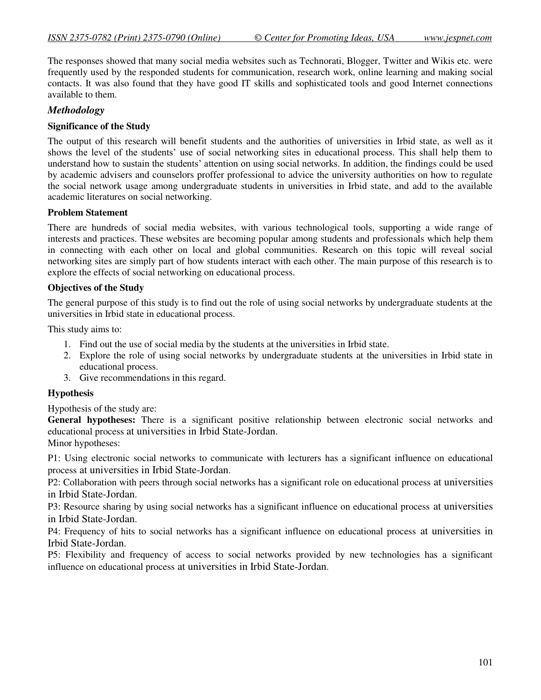The responses showed that many social media websites such as Technorati, Blogger, Twitter and Wikis etc. were frequently used by the responded students for communication, research work, online learning and making social contacts. It was also found that they have good IT skills and sophisticated tools and good Internet connections available to them.

### *Methodology*

### **Significance of the Study**

The output of this research will benefit students and the authorities of universities in Irbid state, as well as it shows the level of the students' use of social networking sites in educational process. This shall help them to understand how to sustain the students' attention on using social networks. In addition, the findings could be used by academic advisers and counselors proffer professional to advice the university authorities on how to regulate the social network usage among undergraduate students in universities in Irbid state, and add to the available academic literatures on social networking.

### **Problem Statement**

There are hundreds of social media websites, with various technological tools, supporting a wide range of interests and practices. These websites are becoming popular among students and professionals which help them in connecting with each other on local and global communities. Research on this topic will reveal social networking sites are simply part of how students interact with each other. The main purpose of this research is to explore the effects of social networking on educational process.

### **Objectives of the Study**

The general purpose of this study is to find out the role of using social networks by undergraduate students at the universities in Irbid state in educational process.

This study aims to:

- 1. Find out the use of social media by the students at the universities in Irbid state.
- 2. Explore the role of using social networks by undergraduate students at the universities in Irbid state in educational process.
- 3. Give recommendations in this regard.

#### **Hypothesis**

Hypothesis of the study are:

**General hypotheses:** There is a significant positive relationship between electronic social networks and educational process at universities in Irbid State-Jordan.

Minor hypotheses:

P1: Using electronic social networks to communicate with lecturers has a significant influence on educational process at universities in Irbid State-Jordan.

P2: Collaboration with peers through social networks has a significant role on educational process at universities in Irbid State-Jordan.

P3: Resource sharing by using social networks has a significant influence on educational process at universities in Irbid State-Jordan.

P4: Frequency of hits to social networks has a significant influence on educational process at universities in Irbid State-Jordan.

P5: Flexibility and frequency of access to social networks provided by new technologies has a significant influence on educational process at universities in Irbid State-Jordan.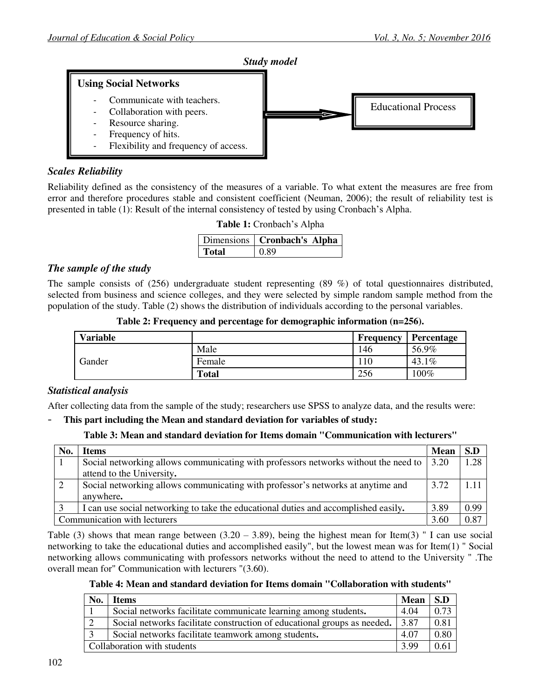

# *Scales Reliability*

Reliability defined as the consistency of the measures of a variable. To what extent the measures are free from error and therefore procedures stable and consistent coefficient (Neuman, 2006); the result of reliability test is presented in table (1): Result of the internal consistency of tested by using Cronbach's Alpha.

**Table 1:** Cronbach's Alpha

|       | Dimensions   Cronbach's Alpha |
|-------|-------------------------------|
| Total | 0.89                          |

### *The sample of the study*

The sample consists of (256) undergraduate student representing (89 %) of total questionnaires distributed, selected from business and science colleges, and they were selected by simple random sample method from the population of the study. Table (2) shows the distribution of individuals according to the personal variables.

| <b>Variable</b> |              | Frequency | Percentage    |
|-----------------|--------------|-----------|---------------|
| Gander          | Male         | 146       | 56.9%         |
|                 | Female       | 10        | $.1\%$<br>43. |
|                 | <b>Total</b> | 256       | $00\%$        |

**Table 2: Frequency and percentage for demographic information (n=256).**

### *Statistical analysis*

After collecting data from the sample of the study; researchers use SPSS to analyze data, and the results were:

- **This part including the Mean and standard deviation for variables of study:**

#### **Table 3: Mean and standard deviation for Items domain "Communication with lecturers"**

| No.                          | <b>Items</b>                                                                                |      | S.D   |
|------------------------------|---------------------------------------------------------------------------------------------|------|-------|
|                              | Social networking allows communicating with professors networks without the need to<br>3.20 |      | 1.28  |
|                              | attend to the University.                                                                   |      |       |
|                              | Social networking allows communicating with professor's networks at anytime and<br>3.72     |      | 1 1 1 |
|                              | anywhere.                                                                                   |      |       |
|                              | I can use social networking to take the educational duties and accomplished easily.         | 3.89 | 0.99  |
| Communication with lecturers |                                                                                             |      | 0.87  |

Table (3) shows that mean range between  $(3.20 - 3.89)$ , being the highest mean for Item(3) " I can use social networking to take the educational duties and accomplished easily", but the lowest mean was for Item(1) " Social networking allows communicating with professors networks without the need to attend to the University " .The overall mean for" Communication with lecturers "(3.60).

**Table 4: Mean and standard deviation for Items domain "Collaboration with students"**

| No. | <b>Items</b>                                                                     | <b>Mean</b> | S.D  |
|-----|----------------------------------------------------------------------------------|-------------|------|
|     | Social networks facilitate communicate learning among students.                  | 4.04        | 0.73 |
|     | Social networks facilitate construction of educational groups as needed.<br>3.87 |             | 0.81 |
|     | Social networks facilitate teamwork among students.                              | 4.07        | 0.80 |
|     | Collaboration with students                                                      | 3.99        | 0.61 |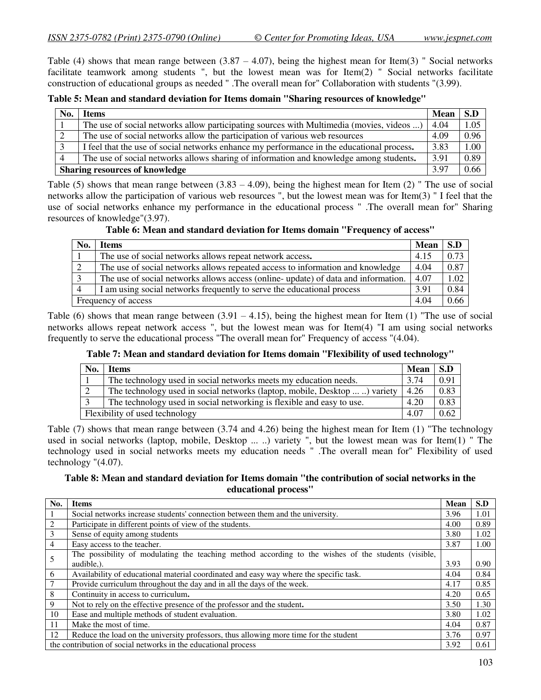Table (4) shows that mean range between  $(3.87 - 4.07)$ , being the highest mean for Item(3) " Social networks facilitate teamwork among students ", but the lowest mean was for Item(2) " Social networks facilitate construction of educational groups as needed " .The overall mean for" Collaboration with students "(3.99).

#### **Table 5: Mean and standard deviation for Items domain "Sharing resources of knowledge"**

| No.                                   | Items                                                                                     | <b>Mean</b> | S.D  |
|---------------------------------------|-------------------------------------------------------------------------------------------|-------------|------|
|                                       | The use of social networks allow participating sources with Multimedia (movies, videos )  | 4.04        | 1.05 |
| ◠                                     | The use of social networks allow the participation of various web resources               | 4.09        | 0.96 |
| $\mathbf 3$                           | I feel that the use of social networks enhance my performance in the educational process. | 3.83        | 1.00 |
|                                       | The use of social networks allows sharing of information and knowledge among students.    | 3.91        | 0.89 |
| <b>Sharing resources of knowledge</b> |                                                                                           |             | 0.66 |

Table (5) shows that mean range between  $(3.83 - 4.09)$ , being the highest mean for Item (2) " The use of social networks allow the participation of various web resources ", but the lowest mean was for Item(3) " I feel that the use of social networks enhance my performance in the educational process " .The overall mean for" Sharing resources of knowledge"(3.97).

**Table 6: Mean and standard deviation for Items domain "Frequency of access"**

| No.                    | <b>Items</b>                                                                      | <b>Mean</b> | S.D  |
|------------------------|-----------------------------------------------------------------------------------|-------------|------|
|                        | The use of social networks allows repeat network access.                          | 4.15        | 0.73 |
|                        | The use of social networks allows repeated access to information and knowledge    | 4.04        | 0.87 |
|                        | The use of social networks allows access (online-update) of data and information. | 4.07        | 1.02 |
| $\boldsymbol{\Lambda}$ | I am using social networks frequently to serve the educational process            | 3.91        | 0.84 |
| Frequency of access    |                                                                                   |             | 0.66 |

Table (6) shows that mean range between  $(3.91 - 4.15)$ , being the highest mean for Item (1) "The use of social networks allows repeat network access ", but the lowest mean was for Item(4) "I am using social networks frequently to serve the educational process "The overall mean for" Frequency of access "(4.04).

#### **Table 7: Mean and standard deviation for Items domain "Flexibility of used technology"**

| No. | <b>Items</b>                                                               | <b>Mean</b> | S.D  |
|-----|----------------------------------------------------------------------------|-------------|------|
|     | The technology used in social networks meets my education needs.           | 3.74        | 0.91 |
|     | The technology used in social networks (laptop, mobile, Desktop  ) variety | 4.26        | 0.83 |
|     | The technology used in social networking is flexible and easy to use.      | 4.20        | 0.83 |
|     | Flexibility of used technology                                             |             |      |

Table (7) shows that mean range between (3.74 and 4.26) being the highest mean for Item (1) "The technology used in social networks (laptop, mobile, Desktop ... ..) variety ", but the lowest mean was for Item(1) " The technology used in social networks meets my education needs " .The overall mean for" Flexibility of used technology "(4.07).

### **Table 8: Mean and standard deviation for Items domain "the contribution of social networks in the educational process"**

| No.            | <b>Items</b>                                                                                        | <b>Mean</b> | S.D  |
|----------------|-----------------------------------------------------------------------------------------------------|-------------|------|
|                | Social networks increase students' connection between them and the university.                      | 3.96        | 1.01 |
| 2              | Participate in different points of view of the students.                                            | 4.00        | 0.89 |
| 3              | Sense of equity among students                                                                      | 3.80        | 1.02 |
| $\overline{4}$ | Easy access to the teacher.                                                                         | 3.87        | 1.00 |
| 5              | The possibility of modulating the teaching method according to the wishes of the students (visible, |             |      |
|                | audible.).                                                                                          | 3.93        | 0.90 |
| 6              | Availability of educational material coordinated and easy way where the specific task.              | 4.04        | 0.84 |
| 7              | Provide curriculum throughout the day and in all the days of the week.                              | 4.17        | 0.85 |
| 8              | Continuity in access to curriculum.                                                                 | 4.20        | 0.65 |
| 9              | Not to rely on the effective presence of the professor and the student.                             | 3.50        | 1.30 |
| 10             | Ease and multiple methods of student evaluation.                                                    | 3.80        | 1.02 |
| 11             | Make the most of time.                                                                              | 4.04        | 0.87 |
| 12             | Reduce the load on the university professors, thus allowing more time for the student               | 3.76        | 0.97 |
|                | the contribution of social networks in the educational process                                      | 3.92        | 0.61 |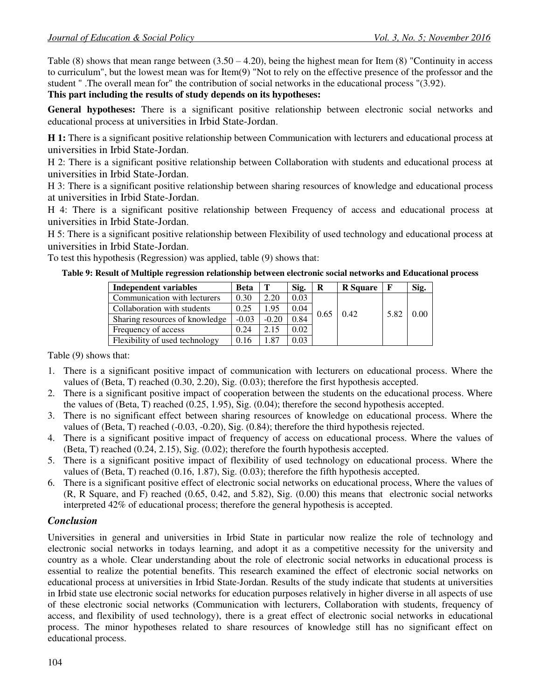Table (8) shows that mean range between  $(3.50 - 4.20)$ , being the highest mean for Item (8) "Continuity in access to curriculum", but the lowest mean was for Item(9) "Not to rely on the effective presence of the professor and the student " .The overall mean for" the contribution of social networks in the educational process "(3.92).

### **This part including the results of study depends on its hypotheses:**

**General hypotheses:** There is a significant positive relationship between electronic social networks and educational process at universities in Irbid State-Jordan.

**H 1:** There is a significant positive relationship between Communication with lecturers and educational process at universities in Irbid State-Jordan.

H 2: There is a significant positive relationship between Collaboration with students and educational process at universities in Irbid State-Jordan.

H 3: There is a significant positive relationship between sharing resources of knowledge and educational process at universities in Irbid State-Jordan.

H 4: There is a significant positive relationship between Frequency of access and educational process at universities in Irbid State-Jordan.

H 5: There is a significant positive relationship between Flexibility of used technology and educational process at universities in Irbid State-Jordan.

To test this hypothesis (Regression) was applied, table (9) shows that:

### **Table 9: Result of Multiple regression relationship between electronic social networks and Educational process**

| <b>Independent variables</b>   | <b>Beta</b> | Т       | Sig. | R    | <b>R</b> Square |      | Sig. |
|--------------------------------|-------------|---------|------|------|-----------------|------|------|
| Communication with lecturers   | 0.30        | 2.20    | 0.03 |      |                 |      |      |
| Collaboration with students    | 0.25        | .95     | 0.04 | 0.65 | 0.42            |      |      |
| Sharing resources of knowledge | $-0.03$     | $-0.20$ | 0.84 |      | 5.82            | 0.00 |      |
| Frequency of access            | 0.24        | 2.15    | 0.02 |      |                 |      |      |
| Flexibility of used technology | 0.16        | .87     | 0.03 |      |                 |      |      |

Table (9) shows that:

- 1. There is a significant positive impact of communication with lecturers on educational process. Where the values of (Beta, T) reached (0.30, 2.20), Sig. (0.03); therefore the first hypothesis accepted.
- 2. There is a significant positive impact of cooperation between the students on the educational process. Where the values of (Beta, T) reached (0.25, 1.95), Sig. (0.04); therefore the second hypothesis accepted.
- 3. There is no significant effect between sharing resources of knowledge on educational process. Where the values of (Beta, T) reached (-0.03, -0.20), Sig. (0.84); therefore the third hypothesis rejected.
- 4. There is a significant positive impact of frequency of access on educational process. Where the values of (Beta, T) reached (0.24, 2.15), Sig. (0.02); therefore the fourth hypothesis accepted.
- 5. There is a significant positive impact of flexibility of used technology on educational process. Where the values of (Beta, T) reached (0.16, 1.87), Sig. (0.03); therefore the fifth hypothesis accepted.
- 6. There is a significant positive effect of electronic social networks on educational process, Where the values of (R, R Square, and F) reached (0.65, 0.42, and 5.82), Sig. (0.00) this means that electronic social networks interpreted 42% of educational process; therefore the general hypothesis is accepted.

# *Conclusion*

Universities in general and universities in Irbid State in particular now realize the role of technology and electronic social networks in todays learning, and adopt it as a competitive necessity for the university and country as a whole. Clear understanding about the role of electronic social networks in educational process is essential to realize the potential benefits. This research examined the effect of electronic social networks on educational process at universities in Irbid State-Jordan. Results of the study indicate that students at universities in Irbid state use electronic social networks for education purposes relatively in higher diverse in all aspects of use of these electronic social networks (Communication with lecturers, Collaboration with students, frequency of access, and flexibility of used technology), there is a great effect of electronic social networks in educational process. The minor hypotheses related to share resources of knowledge still has no significant effect on educational process.